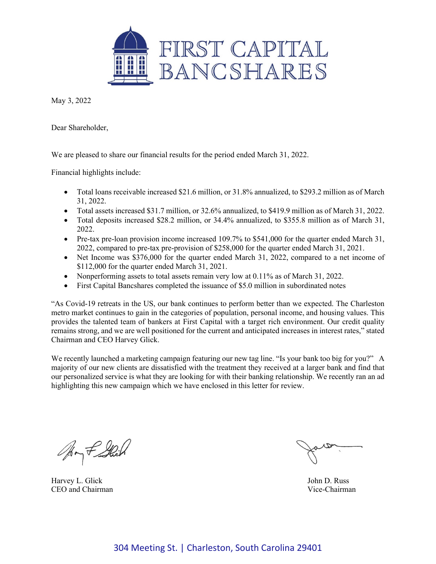

May 3, 2022

Dear Shareholder,

We are pleased to share our financial results for the period ended March 31, 2022.

Financial highlights include:

- Total loans receivable increased \$21.6 million, or 31.8% annualized, to \$293.2 million as of March 31, 2022.
- Total assets increased \$31.7 million, or 32.6% annualized, to \$419.9 million as of March 31, 2022.
- Total deposits increased \$28.2 million, or 34.4% annualized, to \$355.8 million as of March 31, 2022.
- Pre-tax pre-loan provision income increased 109.7% to \$541,000 for the quarter ended March 31, 2022, compared to pre-tax pre-provision of \$258,000 for the quarter ended March 31, 2021.
- Net Income was \$376,000 for the quarter ended March 31, 2022, compared to a net income of \$112,000 for the quarter ended March 31, 2021.
- Nonperforming assets to total assets remain very low at 0.11% as of March 31, 2022.
- First Capital Bancshares completed the issuance of \$5.0 million in subordinated notes

"As Covid-19 retreats in the US, our bank continues to perform better than we expected. The Charleston metro market continues to gain in the categories of population, personal income, and housing values. This provides the talented team of bankers at First Capital with a target rich environment. Our credit quality remains strong, and we are well positioned for the current and anticipated increases in interest rates," stated Chairman and CEO Harvey Glick.

We recently launched a marketing campaign featuring our new tag line. "Is your bank too big for you?" A majority of our new clients are dissatisfied with the treatment they received at a larger bank and find that our personalized service is what they are looking for with their banking relationship. We recently ran an ad highlighting this new campaign which we have enclosed in this letter for review.

Ary f Shih

Harvey L. Glick John D. Russ<br>CEO and Chairman CEO and Chairman CEO and Chairman CEO and Chairman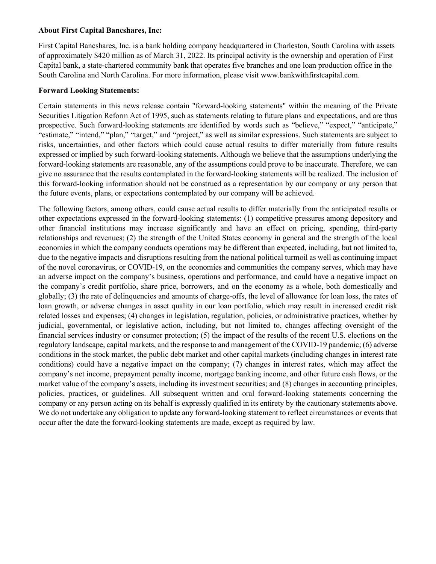## **About First Capital Bancshares, Inc:**

First Capital Bancshares, Inc. is a bank holding company headquartered in Charleston, South Carolina with assets of approximately \$420 million as of March 31, 2022. Its principal activity is the ownership and operation of First Capital bank, a state-chartered community bank that operates five branches and one loan production office in the South Carolina and North Carolina. For more information, please visit www.bankwithfirstcapital.com.

## **Forward Looking Statements:**

Certain statements in this news release contain "forward-looking statements" within the meaning of the Private Securities Litigation Reform Act of 1995, such as statements relating to future plans and expectations, and are thus prospective. Such forward-looking statements are identified by words such as "believe," "expect," "anticipate," "estimate," "intend," "plan," "target," and "project," as well as similar expressions. Such statements are subject to risks, uncertainties, and other factors which could cause actual results to differ materially from future results expressed or implied by such forward-looking statements. Although we believe that the assumptions underlying the forward-looking statements are reasonable, any of the assumptions could prove to be inaccurate. Therefore, we can give no assurance that the results contemplated in the forward-looking statements will be realized. The inclusion of this forward-looking information should not be construed as a representation by our company or any person that the future events, plans, or expectations contemplated by our company will be achieved.

The following factors, among others, could cause actual results to differ materially from the anticipated results or other expectations expressed in the forward-looking statements: (1) competitive pressures among depository and other financial institutions may increase significantly and have an effect on pricing, spending, third-party relationships and revenues; (2) the strength of the United States economy in general and the strength of the local economies in which the company conducts operations may be different than expected, including, but not limited to, due to the negative impacts and disruptions resulting from the national political turmoil as well as continuing impact of the novel coronavirus, or COVID-19, on the economies and communities the company serves, which may have an adverse impact on the company's business, operations and performance, and could have a negative impact on the company's credit portfolio, share price, borrowers, and on the economy as a whole, both domestically and globally; (3) the rate of delinquencies and amounts of charge-offs, the level of allowance for loan loss, the rates of loan growth, or adverse changes in asset quality in our loan portfolio, which may result in increased credit risk related losses and expenses; (4) changes in legislation, regulation, policies, or administrative practices, whether by judicial, governmental, or legislative action, including, but not limited to, changes affecting oversight of the financial services industry or consumer protection; (5) the impact of the results of the recent U.S. elections on the regulatory landscape, capital markets, and the response to and management of the COVID-19 pandemic; (6) adverse conditions in the stock market, the public debt market and other capital markets (including changes in interest rate conditions) could have a negative impact on the company; (7) changes in interest rates, which may affect the company's net income, prepayment penalty income, mortgage banking income, and other future cash flows, or the market value of the company's assets, including its investment securities; and (8) changes in accounting principles, policies, practices, or guidelines. All subsequent written and oral forward-looking statements concerning the company or any person acting on its behalf is expressly qualified in its entirety by the cautionary statements above. We do not undertake any obligation to update any forward-looking statement to reflect circumstances or events that occur after the date the forward-looking statements are made, except as required by law.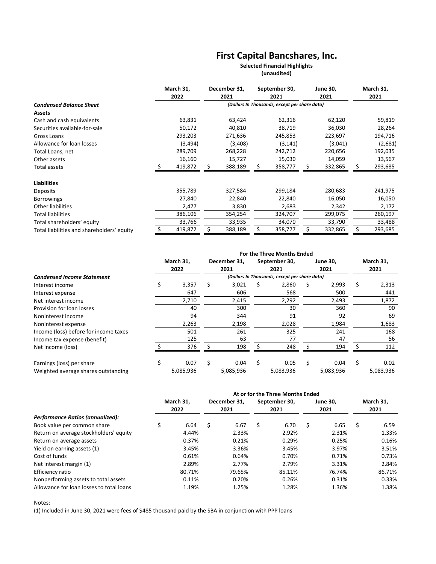# **First Capital Bancshares, Inc.**

### **(unaudited) Selected Financial Highlights**

|                                            | March 31, |          |                                               | December 31, | September 30,<br>2021 |          | <b>June 30,</b> |         | March 31, |         |
|--------------------------------------------|-----------|----------|-----------------------------------------------|--------------|-----------------------|----------|-----------------|---------|-----------|---------|
|                                            |           | 2022     |                                               | 2021         |                       |          |                 | 2021    |           | 2021    |
| <b>Condensed Balance Sheet</b>             |           |          | (Dollars In Thousands, except per share data) |              |                       |          |                 |         |           |         |
| <b>Assets</b>                              |           |          |                                               |              |                       |          |                 |         |           |         |
| Cash and cash equivalents                  |           | 63,831   |                                               | 63,424       |                       | 62,316   |                 | 62,120  |           | 59,819  |
| Securities available-for-sale              |           | 50,172   |                                               | 40,810       |                       | 38,719   |                 | 36,030  |           | 28,264  |
| Gross Loans                                |           | 293,203  |                                               | 271,636      |                       | 245,853  |                 | 223,697 |           | 194,716 |
| Allowance for loan losses                  |           | (3, 494) |                                               | (3,408)      |                       | (3, 141) |                 | (3,041) |           | (2,681) |
| Total Loans, net                           |           | 289,709  |                                               | 268,228      |                       | 242,712  |                 | 220,656 |           | 192,035 |
| Other assets                               |           | 16,160   |                                               | 15,727       |                       | 15,030   |                 | 14,059  |           | 13,567  |
| Total assets                               |           | 419,872  |                                               | 388,189      |                       | 358,777  |                 | 332,865 |           | 293,685 |
| <b>Liabilities</b>                         |           |          |                                               |              |                       |          |                 |         |           |         |
| Deposits                                   |           | 355,789  |                                               | 327,584      |                       | 299,184  |                 | 280,683 |           | 241,975 |
| <b>Borrowings</b>                          |           | 27,840   |                                               | 22,840       |                       | 22,840   |                 | 16,050  |           | 16,050  |
| Other liabilities                          |           | 2,477    |                                               | 3,830        |                       | 2,683    |                 | 2,342   |           | 2,172   |
| <b>Total liabilities</b>                   |           | 386,106  |                                               | 354,254      |                       | 324,707  |                 | 299,075 |           | 260,197 |
| Total shareholders' equity                 |           | 33,766   |                                               | 33,935       |                       | 34,070   |                 | 33,790  |           | 33,488  |
| Total liabilities and shareholders' equity |           | 419,872  |                                               | 388,189      | \$                    | 358,777  | Ś               | 332,865 | Ś         | 293,685 |

|                                       | For the Three Months Ended |           |      |              |      |                                               |      |           |      |           |  |
|---------------------------------------|----------------------------|-----------|------|--------------|------|-----------------------------------------------|------|-----------|------|-----------|--|
|                                       | March 31,<br>2022          |           |      | December 31. |      | September 30,                                 |      | June 30,  |      | March 31, |  |
|                                       |                            |           | 2021 |              | 2021 |                                               | 2021 |           | 2021 |           |  |
| <b>Condensed Income Statement</b>     |                            |           |      |              |      | (Dollars In Thousands, except per share data) |      |           |      |           |  |
| Interest income                       | S                          | 3,357     | s    | 3,021        | S    | 2,860                                         | Ś    | 2,993     | \$   | 2,313     |  |
| Interest expense                      |                            | 647       |      | 606          |      | 568                                           |      | 500       |      | 441       |  |
| Net interest income                   |                            | 2,710     |      | 2,415        |      | 2,292                                         |      | 2,493     |      | 1,872     |  |
| Provision for loan losses             |                            | 40        |      | 300          |      | 30                                            |      | 360       |      | 90        |  |
| Noninterest income                    |                            | 94        |      | 344          |      | 91                                            |      | 92        |      | 69        |  |
| Noninterest expense                   |                            | 2,263     |      | 2,198        |      | 2,028                                         |      | 1,984     |      | 1,683     |  |
| Income (loss) before for income taxes |                            | 501       |      | 261          |      | 325                                           |      | 241       |      | 168       |  |
| Income tax expense (benefit)          |                            | 125       |      | 63           |      | 77                                            |      | 47        |      | 56        |  |
| Net income (loss)                     |                            | 376       |      | 198          |      | 248                                           |      | 194       |      | 112       |  |
| Earnings (loss) per share             | Ś                          | 0.07      | \$   | 0.04         | \$   | 0.05                                          | Ś    | 0.04      | \$   | 0.02      |  |
| Weighted average shares outstanding   |                            | 5,085,936 |      | 5,085,936    |      | 5,083,936                                     |      | 5,083,936 |      | 5,083,936 |  |

|                                          | At or for the Three Months Ended |        |              |        |               |        |                 |        |           |        |
|------------------------------------------|----------------------------------|--------|--------------|--------|---------------|--------|-----------------|--------|-----------|--------|
|                                          | March 31.                        |        | December 31. |        | September 30, |        | <b>June 30,</b> |        | March 31. |        |
|                                          |                                  | 2022   |              | 2021   |               | 2021   |                 | 2021   |           | 2021   |
| Performance Ratios (annualized):         |                                  |        |              |        |               |        |                 |        |           |        |
| Book value per common share              | Ś.                               | 6.64   | \$           | 6.67   | \$            | 6.70   | \$              | 6.65   | \$        | 6.59   |
| Return on average stockholders' equity   |                                  | 4.44%  |              | 2.33%  |               | 2.92%  |                 | 2.31%  |           | 1.33%  |
| Return on average assets                 |                                  | 0.37%  |              | 0.21%  |               | 0.29%  |                 | 0.25%  |           | 0.16%  |
| Yield on earning assets (1)              |                                  | 3.45%  |              | 3.36%  |               | 3.45%  |                 | 3.97%  |           | 3.51%  |
| Cost of funds                            |                                  | 0.61%  |              | 0.64%  |               | 0.70%  |                 | 0.71%  |           | 0.73%  |
| Net interest margin (1)                  |                                  | 2.89%  |              | 2.77%  |               | 2.79%  |                 | 3.31%  |           | 2.84%  |
| Efficiency ratio                         |                                  | 80.71% |              | 79.65% |               | 85.11% |                 | 76.74% |           | 86.71% |
| Nonperforming assets to total assets     |                                  | 0.11%  |              | 0.20%  |               | 0.26%  |                 | 0.31%  |           | 0.33%  |
| Allowance for loan losses to total loans |                                  | 1.19%  |              | 1.25%  |               | 1.28%  |                 | 1.36%  |           | 1.38%  |

Notes:

(1) Included in June 30, 2021 were fees of \$485 thousand paid by the SBA in conjunction with PPP loans